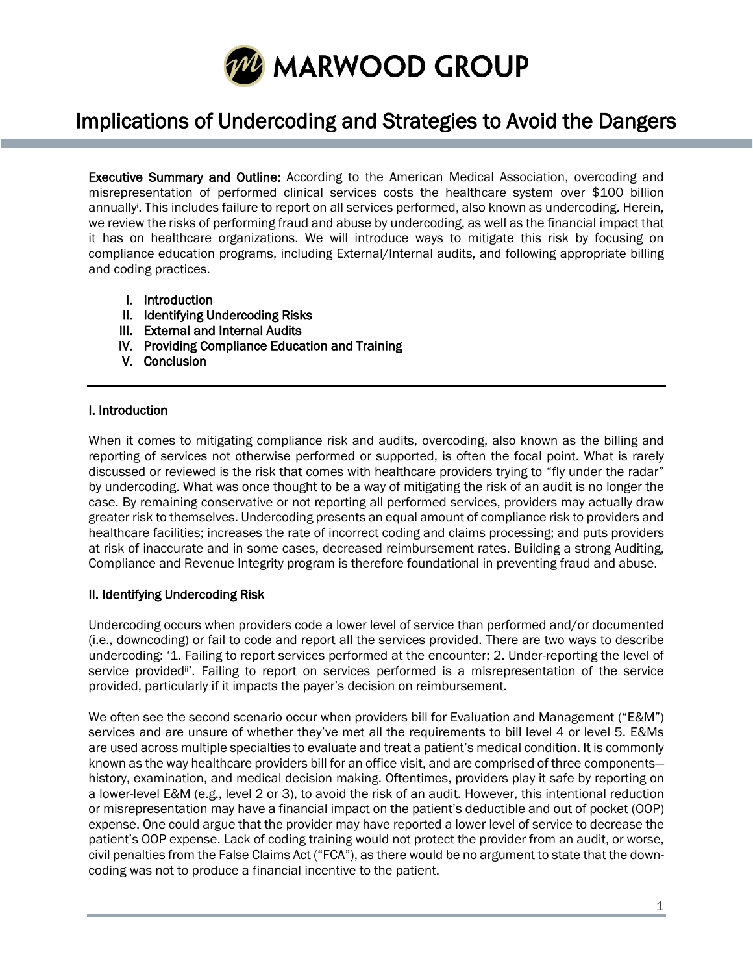

# Implications of Undercoding and Strategies to Avoid the Dangers

I

Executive Summary and Outline: According to the American Medical Association, overcoding and misrepresentation of performed clinical services costs the healthcare system over \$100 billion annually<sup>i</sup> . This includes failure to report on all services performed, also known as undercoding. Herein, we review the risks of performing fraud and abuse by undercoding, as well as the financial impact that it has on healthcare organizations. We will introduce ways to mitigate this risk by focusing on compliance education programs, including External/Internal audits, and following appropriate billing and coding practices.

- I. Introduction
- II. Identifying Undercoding Risks
- III. External and Internal Audits
- IV. Providing Compliance Education and Training
- V. Conclusion

## I. Introduction

When it comes to mitigating compliance risk and audits, overcoding, also known as the billing and reporting of services not otherwise performed or supported, is often the focal point. What is rarely discussed or reviewed is the risk that comes with healthcare providers trying to "fly under the radar" by undercoding. What was once thought to be a way of mitigating the risk of an audit is no longer the case. By remaining conservative or not reporting all performed services, providers may actually draw greater risk to themselves. Undercoding presents an equal amount of compliance risk to providers and healthcare facilities; increases the rate of incorrect coding and claims processing; and puts providers at risk of inaccurate and in some cases, decreased reimbursement rates. Building a strong Auditing, Compliance and Revenue Integrity program is therefore foundational in preventing fraud and abuse.

## II. Identifying Undercoding Risk

Undercoding occurs when providers code a lower level of service than performed and/or documented (i.e., downcoding) or fail to code and report all the services provided. There are two ways to describe undercoding: '1. Failing to report services performed at the encounter; 2. Under-reporting the level of service provided<sup>ii</sup>'. Failing to report on services performed is a misrepresentation of the service provided, particularly if it impacts the payer's decision on reimbursement.

We often see the second scenario occur when providers bill for Evaluation and Management ("E&M") services and are unsure of whether they've met all the requirements to bill level 4 or level 5. E&Ms are used across multiple specialties to evaluate and treat a patient's medical condition. It is commonly known as the way healthcare providers bill for an office visit, and are comprised of three components history, examination, and medical decision making. Oftentimes, providers play it safe by reporting on a lower-level E&M (e.g., level 2 or 3), to avoid the risk of an audit. However, this intentional reduction or misrepresentation may have a financial impact on the patient's deductible and out of pocket (OOP) expense. One could argue that the provider may have reported a lower level of service to decrease the patient's OOP expense. Lack of coding training would not protect the provider from an audit, or worse, civil penalties from the False Claims Act ("FCA"), as there would be no argument to state that the downcoding was not to produce a financial incentive to the patient.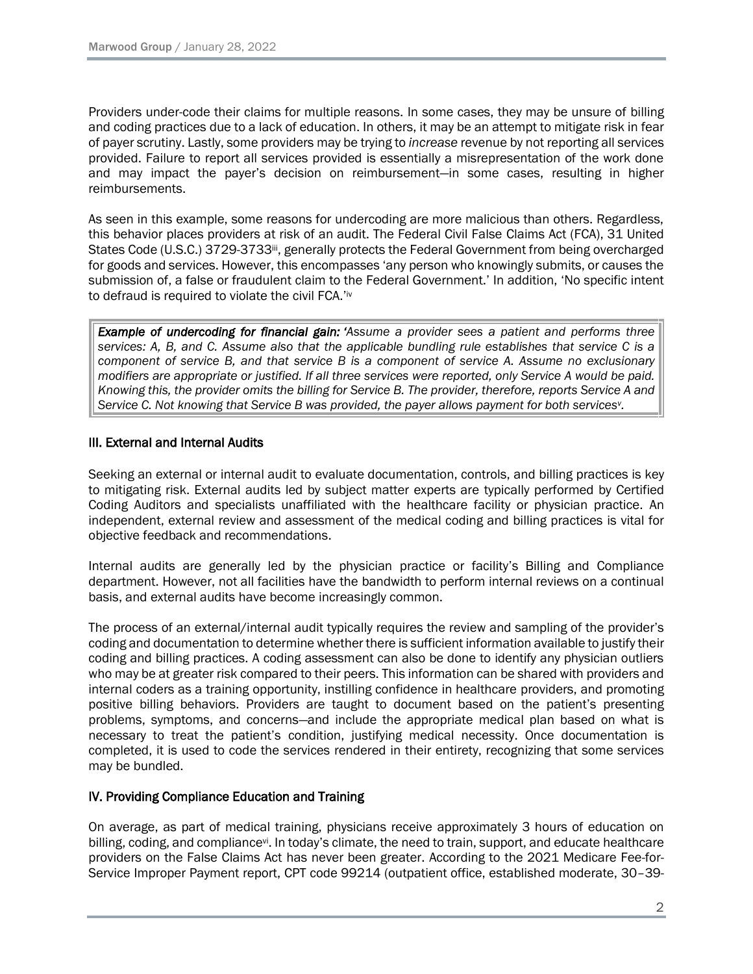Providers under-code their claims for multiple reasons. In some cases, they may be unsure of billing and coding practices due to a lack of education. In others, it may be an attempt to mitigate risk in fear of payer scrutiny. Lastly, some providers may be trying to *increase* revenue by not reporting all services provided. Failure to report all services provided is essentially a misrepresentation of the work done and may impact the payer's decision on reimbursement—in some cases, resulting in higher reimbursements.

As seen in this example, some reasons for undercoding are more malicious than others. Regardless, this behavior places providers at risk of an audit. The Federal Civil False Claims Act (FCA), 31 United States Code (U.S.C.) 3729-3733iii, generally protects the Federal Government from being overcharged for goods and services. However, this encompasses 'any person who knowingly submits, or causes the submission of, a false or fraudulent claim to the Federal Government.' In addition, 'No specific intent to defraud is required to violate the civil FCA.'iv

*Example of undercoding for financial gain: 'Assume a provider sees a patient and performs three* services: A, B, and C. Assume also that the applicable bundling rule establishes that service C is a *component of service B, and that service B is a component of service A. Assume no exclusionary* modifiers are appropriate or justified. If all three services were reported, only Service A would be paid. Knowing this, the provider omits the billing for Service B. The provider, therefore, reports Service A and *Service C. Not knowing that Service B was provided, the payer allows payment for both services<sup>v</sup> .*

## III. External and Internal Audits

Seeking an external or internal audit to evaluate documentation, controls, and billing practices is key to mitigating risk. External audits led by subject matter experts are typically performed by Certified Coding Auditors and specialists unaffiliated with the healthcare facility or physician practice. An independent, external review and assessment of the medical coding and billing practices is vital for objective feedback and recommendations.

Internal audits are generally led by the physician practice or facility's Billing and Compliance department. However, not all facilities have the bandwidth to perform internal reviews on a continual basis, and external audits have become increasingly common.

The process of an external/internal audit typically requires the review and sampling of the provider's coding and documentation to determine whether there is sufficient information available to justify their coding and billing practices. A coding assessment can also be done to identify any physician outliers who may be at greater risk compared to their peers. This information can be shared with providers and internal coders as a training opportunity, instilling confidence in healthcare providers, and promoting positive billing behaviors. Providers are taught to document based on the patient's presenting problems, symptoms, and concerns—and include the appropriate medical plan based on what is necessary to treat the patient's condition, justifying medical necessity. Once documentation is completed, it is used to code the services rendered in their entirety, recognizing that some services may be bundled.

## IV. Providing Compliance Education and Training

On average, as part of medical training, physicians receive approximately 3 hours of education on billing, coding, and compliancevi. In today's climate, the need to train, support, and educate healthcare providers on the False Claims Act has never been greater. According to the 2021 Medicare Fee-for-Service Improper Payment report, CPT code 99214 (outpatient office, established moderate, 30–39-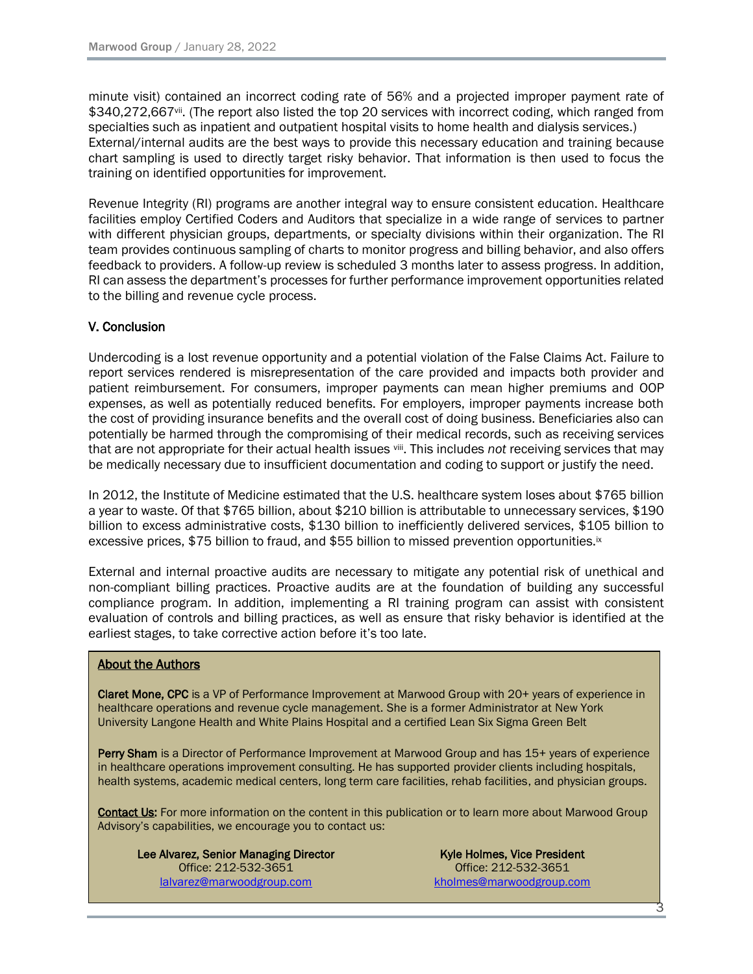minute visit) contained an incorrect coding rate of 56% and a projected improper payment rate of \$340,272,667vii. (The report also listed the top 20 services with incorrect coding, which ranged from specialties such as inpatient and outpatient hospital visits to home health and dialysis services.) External/internal audits are the best ways to provide this necessary education and training because chart sampling is used to directly target risky behavior. That information is then used to focus the training on identified opportunities for improvement.

Revenue Integrity (RI) programs are another integral way to ensure consistent education. Healthcare facilities employ Certified Coders and Auditors that specialize in a wide range of services to partner with different physician groups, departments, or specialty divisions within their organization. The RI team provides continuous sampling of charts to monitor progress and billing behavior, and also offers feedback to providers. A follow-up review is scheduled 3 months later to assess progress. In addition, RI can assess the department's processes for further performance improvement opportunities related to the billing and revenue cycle process.

## V. Conclusion

Undercoding is a lost revenue opportunity and a potential violation of the False Claims Act. Failure to report services rendered is misrepresentation of the care provided and impacts both provider and patient reimbursement. For consumers, improper payments can mean higher premiums and OOP expenses, as well as potentially reduced benefits. For employers, improper payments increase both the cost of providing insurance benefits and the overall cost of doing business. Beneficiaries also can potentially be harmed through the compromising of their medical records, such as receiving services that are not appropriate for their actual health issues viii. This includes not receiving services that may be medically necessary due to insufficient documentation and coding to support or justify the need.

In 2012, the Institute of Medicine estimated that the U.S. healthcare system loses about \$765 billion a year to waste. Of that \$765 billion, about \$210 billion is attributable to unnecessary services, \$190 billion to excess administrative costs, \$130 billion to inefficiently delivered services, \$105 billion to excessive prices, \$75 billion to fraud, and \$55 billion to missed prevention opportunities.<sup>ix</sup>

External and internal proactive audits are necessary to mitigate any potential risk of unethical and non-compliant billing practices. Proactive audits are at the foundation of building any successful compliance program. In addition, implementing a RI training program can assist with consistent evaluation of controls and billing practices, as well as ensure that risky behavior is identified at the earliest stages, to take corrective action before it's too late.

## About the Authors

Claret Mone, CPC is a VP of Performance Improvement at Marwood Group with 20+ years of experience in healthcare operations and revenue cycle management. She is a former Administrator at New York University Langone Health and White Plains Hospital and a certified Lean Six Sigma Green Belt

Perry Sham is a Director of Performance Improvement at Marwood Group and has 15+ years of experience in healthcare operations improvement consulting. He has supported provider clients including hospitals, health systems, academic medical centers, long term care facilities, rehab facilities, and physician groups.

Contact Us: For more information on the content in this publication or to learn more about Marwood Group Advisory's capabilities, we encourage you to contact us:

Lee Alvarez, Senior Managing Director Office: 212-532-3651 [lalvarez@marwoodgroup.com](mailto:lalvarez@marwoodgroup.com)

Kyle Holmes, Vice President Office: 212-532-3651 [kholmes@marwoodgroup.com](mailto:kholmes@marwoodgroup.com)

3